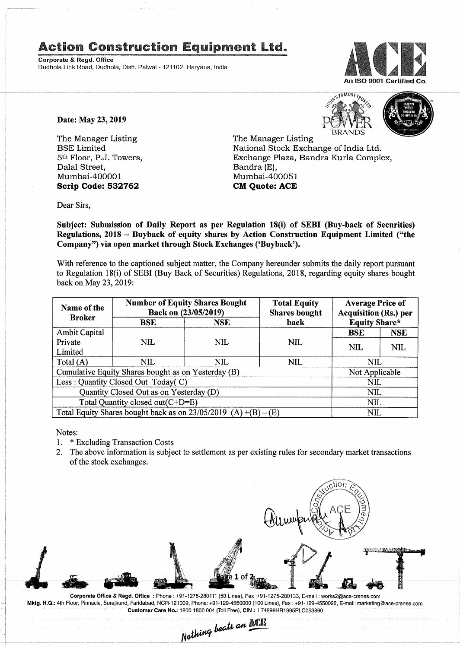## **Action Construction Equipment Ltd.**

Corporate & Regd. Office Dudhola Link Road, Dudhola, Distt. Palwal - 121102, Haryana, India



Date: May 23, 2019

The Manager Listing BSE Limited 5th Floor, P.J. Towers, Dalal Street, Mumbai-400001 **Scrip Code: 532762**



The Manager Listing National Stock Exchange of India Ltd. Exchange Plaza, Bandra Kurla Complex, Bandra (E), Mumbai-400051 **CM Quote: ACE**

Dear Sirs,

Subject: Submission of Daily Report as per Regulation 18(i) of SEBI (Buy-back of Securities) Regulations, 2018 - Buyback of equity shares by Action Construction Equipment Limited ("the Company") via open market through Stock Exchanges ('Buyback').

With reference to the captioned subject matter, the Company hereunder submits the daily report pursuant to Regulation 18(i) of SEBI (Buy Back of Securities) Regulations, 2018, regarding equity shares bought back on May 23,2019:

| Name of the<br><b>Broker</b>                                      | <b>Number of Equity Shares Bought</b><br>Back on (23/05/2019) |            | <b>Total Equity</b><br><b>Shares bought</b> | <b>Average Price of</b><br><b>Acquisition (Rs.) per</b> |            |  |
|-------------------------------------------------------------------|---------------------------------------------------------------|------------|---------------------------------------------|---------------------------------------------------------|------------|--|
|                                                                   | <b>BSE</b>                                                    | <b>NSE</b> | back                                        | <b>Equity Share*</b>                                    |            |  |
| <b>Ambit Capital</b>                                              |                                                               |            |                                             | <b>BSE</b>                                              | <b>NSE</b> |  |
| Private                                                           | NIL                                                           | NIL        | NIL.                                        | <b>NIL</b>                                              | <b>NIL</b> |  |
| Limited                                                           |                                                               |            |                                             |                                                         |            |  |
| Total $(A)$                                                       | NIL.                                                          | NIL        | NIL                                         | NIL                                                     |            |  |
| Cumulative Equity Shares bought as on Yesterday (B)               |                                                               |            |                                             | Not Applicable                                          |            |  |
| Less: Quantity Closed Out Today(C)                                |                                                               |            |                                             | <b>NIL</b>                                              |            |  |
| Quantity Closed Out as on Yesterday (D)                           |                                                               |            |                                             | <b>NIL</b>                                              |            |  |
| Total Quantity closed out(C+D=E)                                  |                                                               |            |                                             |                                                         | <b>NIL</b> |  |
| Total Equity Shares bought back as on $23/05/2019$ (A) +(B) – (E) |                                                               |            |                                             | NIL                                                     |            |  |

Notes:<br> $1. * I$ 

- 1. \* Excluding Transaction Costs
- 2. The above information is subject to settlement as per existing rules for secondary market transactions of the stock exchanges.



Corporate Office & Regd. Office: Phone: +91-1275-280111 (50 Lines), Fax:+91-1275-280133, E-mail: works2@ace-cranes.com Mktg. H.Q.: 4th Floor, Pinnacle, Surajkund, Faridabad, NCR-121009, Phone: +91-129-4550000 (100 Lines), Fax: +91-129-4550022, E-mail:marketing@ace-cranes.com

Customer Care No.: 1800 1800 004 (Toll Free), CIN: L74899HR1995PLC053860<br>Nathing beats an **MCP**